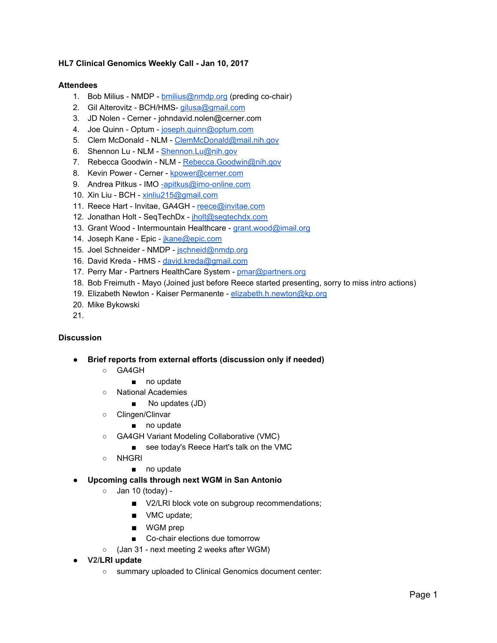## **HL7 Clinical Genomics Weekly Call - Jan 10, 2017**

#### **Attendees**

- 1. Bob Milius NMDP [bmilius@nmdp.org](mailto:bmilius@nmdp.org) (preding co-chair)
- 2. Gil Alterovitz BCH/HMS- [gilusa@gmail.com](mailto:gilusa@gmail.com)
- 3. JD Nolen Cerner johndavid.nolen@cerner.com
- 4. Joe Quinn Optum [joseph.quinn@optum.com](mailto:joseph.quinn@optum.com)
- 5. Clem McDonald NLM - [ClemMcDonald@mail.nih.gov](mailto:ClemMcDonald@mail.nih.gov)
- 6. Shennon Lu NLM - [Shennon.Lu@nih.gov](mailto:Shennon.Lu@nih.gov)
- 7. Rebecca Goodwin NLM - [Rebecca.Goodwin@nih.gov](mailto:Rebecca.Goodwin@nih.gov)
- 8. Kevin Power Cerner - [kpower@cerner.com](mailto:kpower@cerner.com)
- 9. Andrea Pitkus IMO [-apitkus@imo-online.com](mailto:-apitkus@imo-online.com)
- 10. Xin Liu BCH [xinliu215@gmail.com](mailto:xinliu215@gmail.com)
- 11. Reece Hart Invitae, GA4GH - [reece@invitae.com](mailto:reece@invitae.com)
- 12. Jonathan Holt SeqTechDx - [jholt@seqtechdx.com](mailto:jholt@seqtechdx.com)
- 13. Grant Wood Intermountain Healthcare - [grant.wood@imail.org](mailto:grant.wood@imail.org)
- 14. Joseph Kane Epic - [jkane@epic.com](mailto:jkane@epic.com)
- 15. Joel Schneider NMDP - [jschneid@nmdp.org](mailto:jschneid@nmdp.org)
- 16. David Kreda HMS - [david.kreda@gmail.com](mailto:david.kreda@gmail.com)
- 17. Perry Mar Partners HealthCare System - [pmar@partners.org](mailto:pmar@partners.org)
- 18. Bob Freimuth Mayo (Joined just before Reece started presenting, sorry to miss intro actions)
- 19. Elizabeth Newton Kaiser Permanente - [elizabeth.h.newton@kp.org](mailto:elizabeth.h.newton@kp.org)
- 20. Mike Bykowski
- 21.

## **Discussion**

- **● Brief reports from external efforts (discussion only if needed)**
	- GA4GH
		- no update
	- National Academies
		- No updates (JD)
	- Clingen/Clinvar
		- no update
	- GA4GH Variant Modeling Collaborative (VMC)
		- see today's Reece Hart's talk on the VMC
	- NHGRI
		- no update

## **● Upcoming calls through next WGM in San Antonio**

- Jan 10 (today)
	- V2/LRI block vote on subgroup recommendations;
	- VMC update;
	- WGM prep
	- Co-chair elections due tomorrow
- (Jan 31 next meeting 2 weeks after WGM)
- **● V2/LRI update**
	- summary uploaded to Clinical Genomics document center: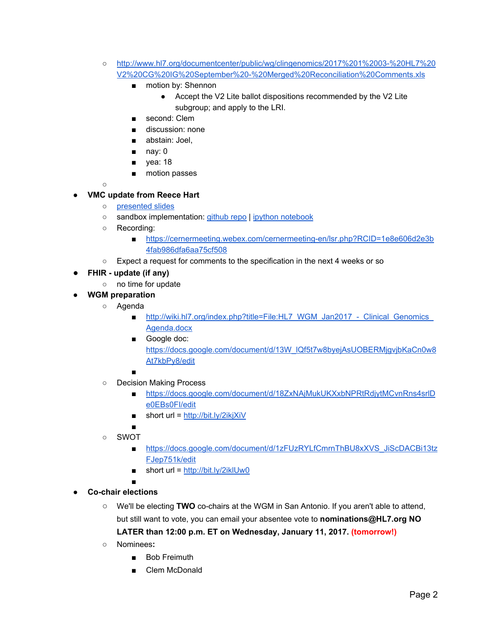- [http://www.hl7.org/documentcenter/public/wg/clingenomics/2017%201%2003-%20HL7%20](http://www.hl7.org/documentcenter/public/wg/clingenomics/2017%201%2003-%20HL7%20V2%20CG%20IG%20September%20-%20Merged%20Reconciliation%20Comments.xls) [V2%20CG%20IG%20September%20-%20Merged%20Reconciliation%20Comments.xls](http://www.hl7.org/documentcenter/public/wg/clingenomics/2017%201%2003-%20HL7%20V2%20CG%20IG%20September%20-%20Merged%20Reconciliation%20Comments.xls)
	- motion by: Shennon
		- Accept the V2 Lite ballot dispositions recommended by the V2 Lite subgroup; and apply to the LRI.
	- second: Clem
	- discussion: none
	- abstain: Joel,
	- nay: 0
	- yea: 18
	- motion passes

○

# **● VMC update from Reece Hart**

- [presented slides](https://drive.google.com/open?id=18IipKz_AqlytOD4Sf8wHmbCyZgRL6-g8orjXBCU83RM)
- sandbox implementation: [github repo](https://github.com/reece/vmc-python) | [ipython notebook](https://github.com/reece/vmc-python/blob/master/examples/ApoE.ipynb)
- Recording:
	- [https://cernermeeting.webex.com/cernermeeting-en/lsr.php?RCID=1e8e606d2e3b](https://cernermeeting.webex.com/cernermeeting-en/lsr.php?RCID=1e8e606d2e3b4fab986dfa6aa75cf508) [4fab986dfa6aa75cf508](https://cernermeeting.webex.com/cernermeeting-en/lsr.php?RCID=1e8e606d2e3b4fab986dfa6aa75cf508)
- Expect a request for comments to the specification in the next 4 weeks or so
- **FHIR update (if any)**
	- no time for update
	- **● WGM preparation**
		- Agenda
			- [http://wiki.hl7.org/index.php?title=File:HL7\\_WGM\\_Jan2017\\_-\\_Clinical\\_Genomics\\_](http://wiki.hl7.org/index.php?title=File:HL7_WGM_Jan2017_-_Clinical_Genomics_Agenda.docx) [Agenda.docx](http://wiki.hl7.org/index.php?title=File:HL7_WGM_Jan2017_-_Clinical_Genomics_Agenda.docx)
			- Google doc: [https://docs.google.com/document/d/13W\\_lQf5t7w8byejAsUOBERMjgvjbKaCn0w8](https://docs.google.com/document/d/13W_lQf5t7w8byejAsUOBERMjgvjbKaCn0w8At7kbPy8/edit) [At7kbPy8/edit](https://docs.google.com/document/d/13W_lQf5t7w8byejAsUOBERMjgvjbKaCn0w8At7kbPy8/edit)
			- ■
		- Decision Making Process
			- [https://docs.google.com/document/d/18ZxNAjMukUKXxbNPRtRdjytMCvnRns4srlD](https://docs.google.com/document/d/18ZxNAjMukUKXxbNPRtRdjytMCvnRns4srlDe0EBs0FI/edit) [e0EBs0FI/edit](https://docs.google.com/document/d/18ZxNAjMukUKXxbNPRtRdjytMCvnRns4srlDe0EBs0FI/edit)
			- $\blacksquare$  short url =<http://bit.ly/2ikjXiV>
		- ○ SWOT
			- [https://docs.google.com/document/d/1zFUzRYLfCmrnThBU8xXVS\\_JiScDACBi13tz](https://docs.google.com/document/d/1zFUzRYLfCmrnThBU8xXVS_JiScDACBi13tzFJep751k/edit) [FJep751k/edit](https://docs.google.com/document/d/1zFUzRYLfCmrnThBU8xXVS_JiScDACBi13tzFJep751k/edit)
			- $\blacksquare$  short url =<http://bit.ly/2iklUw0>
- **● Co-chair elections**
	- We'll be electing **TWO** co-chairs at the WGM in San Antonio. If you aren't able to attend, but still want to vote, you can email your absentee vote to **nominations@HL7.org NO LATER than 12:00 p.m. ET on Wednesday, January 11, 2017. ( tomorrow!)**
	- **○** Nominees**:**

■

- Bob Freimuth
- Clem McDonald